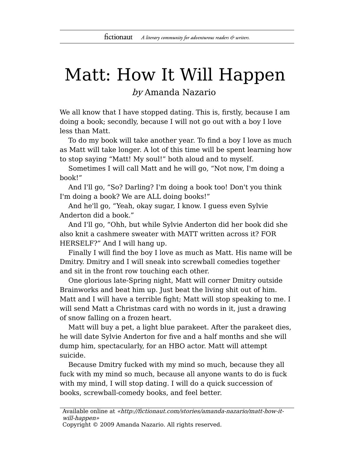## Matt: How It Will Happen

by Amanda Nazario

We all know that I have stopped dating. This is, firstly, because I am doing a book; secondly, because I will not go out with a boy I love less than Matt.

To do my book will take another year. To find a boy I love as much as Matt will take longer. A lot of this time will be spent learning how to stop saying "Matt! My soul!" both aloud and to myself.

Sometimes I will call Matt and he will go, "Not now, I'm doing a book!"

And I'll go, "So? Darling? I'm doing a book too! Don't you think I'm doing a book? We are ALL doing books!"

And he'll go, "Yeah, okay sugar, I know. I guess even Sylvie Anderton did a book."

And I'll go, "Ohh, but while Sylvie Anderton did her book did she also knit a cashmere sweater with MATT written across it? FOR HERSELF?" And I will hang up.

Finally I will find the boy I love as much as Matt. His name will be Dmitry. Dmitry and I will sneak into screwball comedies together and sit in the front row touching each other.

One glorious late-Spring night, Matt will corner Dmitry outside Brainworks and beat him up. Just beat the living shit out of him. Matt and I will have a terrible fight; Matt will stop speaking to me. I will send Matt a Christmas card with no words in it, just a drawing of snow falling on a frozen heart.

Matt will buy a pet, a light blue parakeet. After the parakeet dies, he will date Sylvie Anderton for five and a half months and she will dump him, spectacularly, for an HBO actor. Matt will attempt suicide.

Because Dmitry fucked with my mind so much, because they all fuck with my mind so much, because all anyone wants to do is fuck with my mind, I will stop dating. I will do a quick succession of books, screwball-comedy books, and feel better.

Copyright © 2009 Amanda Nazario. All rights reserved.